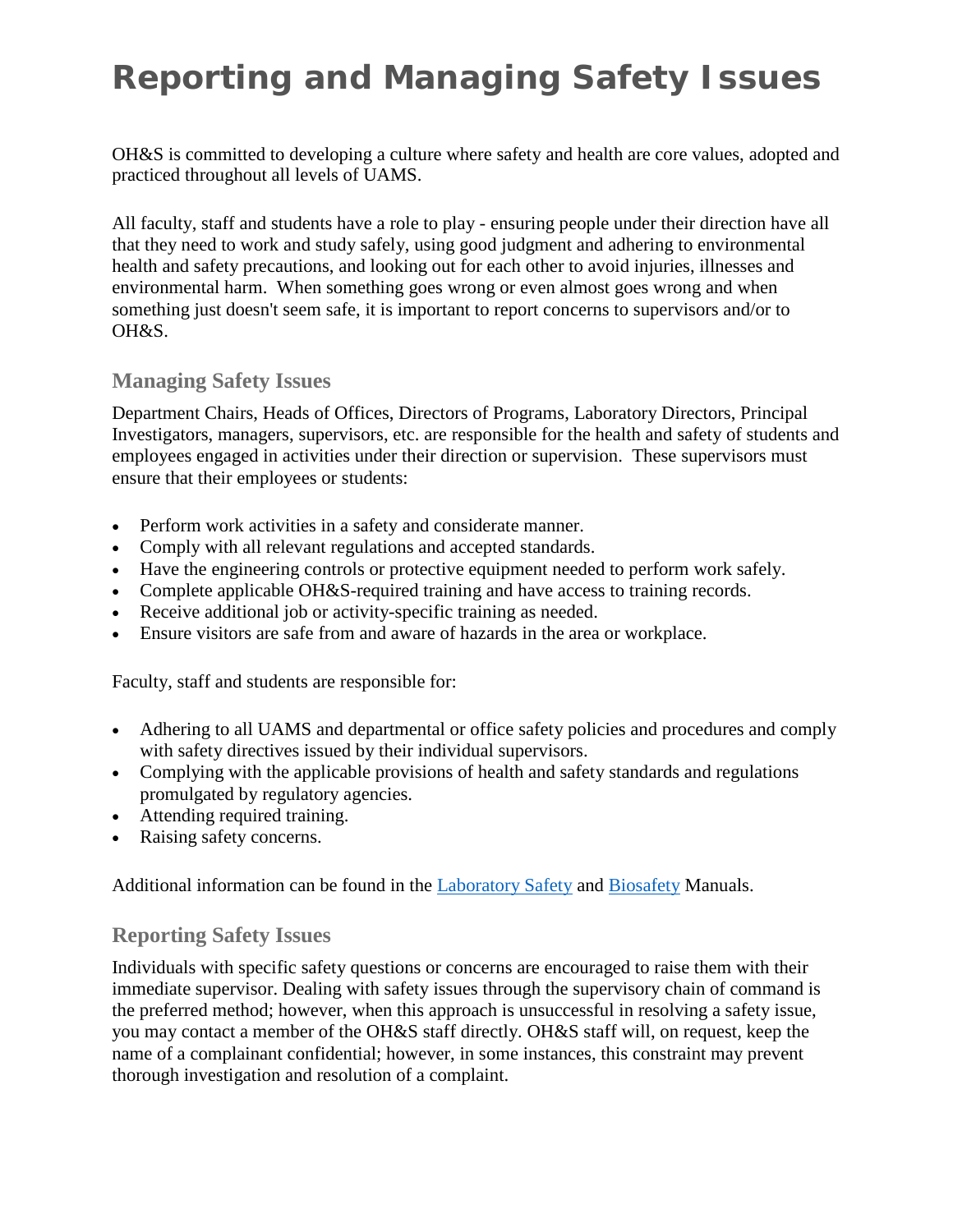## **Reporting and Managing Safety Issues**

OH&S is committed to developing a culture where safety and health are core values, adopted and practiced throughout all levels of UAMS.

All faculty, staff and students have a role to play - ensuring people under their direction have all that they need to work and study safely, using good judgment and adhering to environmental health and safety precautions, and looking out for each other to avoid injuries, illnesses and environmental harm. When something goes wrong or even almost goes wrong and when something just doesn't seem safe, it is important to report concerns to supervisors and/or to OH&S.

## **Managing Safety Issues**

Department Chairs, Heads of Offices, Directors of Programs, Laboratory Directors, Principal Investigators, managers, supervisors, etc. are responsible for the health and safety of students and employees engaged in activities under their direction or supervision. These supervisors must ensure that their employees or students:

- Perform work activities in a safety and considerate manner.
- Comply with all relevant regulations and accepted standards.
- Have the engineering controls or protective equipment needed to perform work safely.
- Complete applicable OH&S-required training and have access to training records.
- Receive additional job or activity-specific training as needed.
- Ensure visitors are safe from and aware of hazards in the area or workplace.

Faculty, staff and students are responsible for:

- Adhering to all UAMS and departmental or office safety policies and procedures and comply with safety directives issued by their individual supervisors.
- Complying with the applicable provisions of health and safety standards and regulations promulgated by regulatory agencies.
- Attending required training.
- Raising safety concerns.

Additional information can be found in the [Laboratory Safety](http://www.uams.edu/campusop/depts/ohs/docs/Manuals/LAB_SAFETY_MANUAL.pdf) and [Biosafety](http://www.uams.edu/campusop/depts/ohs/docs/Manuals/Biosafety_Manual.pdf) Manuals.

## **Reporting Safety Issues**

Individuals with specific safety questions or concerns are encouraged to raise them with their immediate supervisor. Dealing with safety issues through the supervisory chain of command is the preferred method; however, when this approach is unsuccessful in resolving a safety issue, you may contact a member of the OH&S staff directly. OH&S staff will, on request, keep the name of a complainant confidential; however, in some instances, this constraint may prevent thorough investigation and resolution of a complaint.